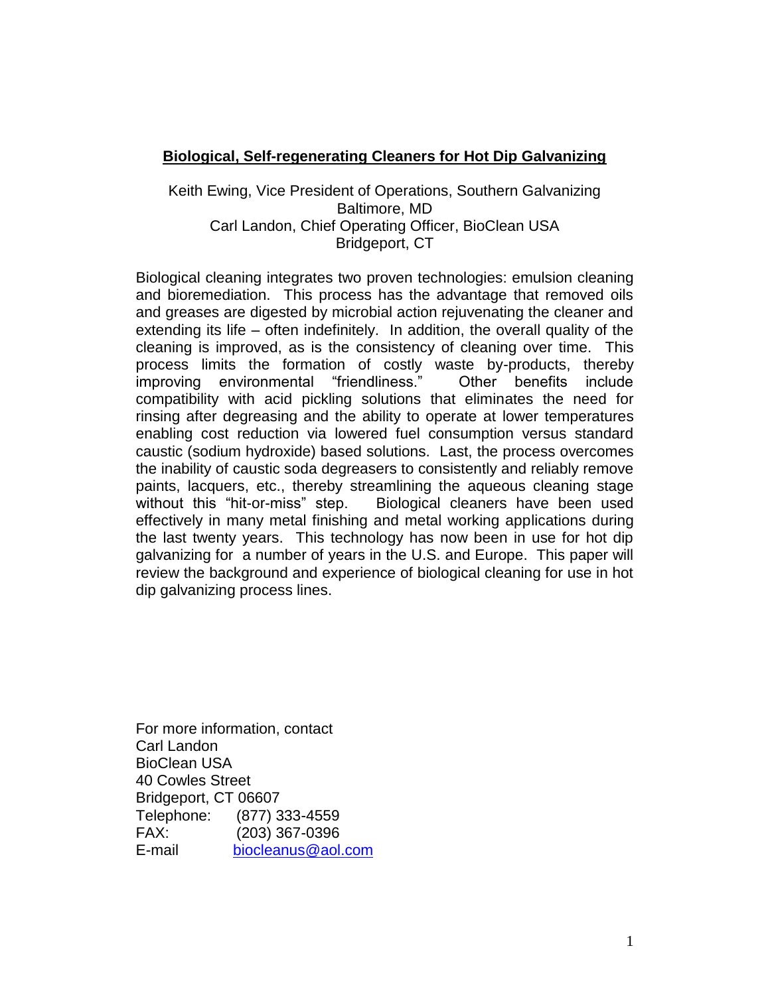## **Biological, Self-regenerating Cleaners for Hot Dip Galvanizing**

## Keith Ewing, Vice President of Operations, Southern Galvanizing Baltimore, MD Carl Landon, Chief Operating Officer, BioClean USA Bridgeport, CT

Biological cleaning integrates two proven technologies: emulsion cleaning and bioremediation. This process has the advantage that removed oils and greases are digested by microbial action rejuvenating the cleaner and extending its life – often indefinitely. In addition, the overall quality of the cleaning is improved, as is the consistency of cleaning over time. This process limits the formation of costly waste by-products, thereby improving environmental "friendliness." Other benefits include compatibility with acid pickling solutions that eliminates the need for rinsing after degreasing and the ability to operate at lower temperatures enabling cost reduction via lowered fuel consumption versus standard caustic (sodium hydroxide) based solutions. Last, the process overcomes the inability of caustic soda degreasers to consistently and reliably remove paints, lacquers, etc., thereby streamlining the aqueous cleaning stage without this "hit-or-miss" step. Biological cleaners have been used effectively in many metal finishing and metal working applications during the last twenty years. This technology has now been in use for hot dip galvanizing for a number of years in the U.S. and Europe. This paper will review the background and experience of biological cleaning for use in hot dip galvanizing process lines.

For more information, contact Carl Landon BioClean USA 40 Cowles Street Bridgeport, CT 06607 Telephone: (877) 333-4559<br>FAX: (203) 367-0396 (203) 367-0396 E-mail [biocleanus@aol.com](mailto:biocleanus@aol.com)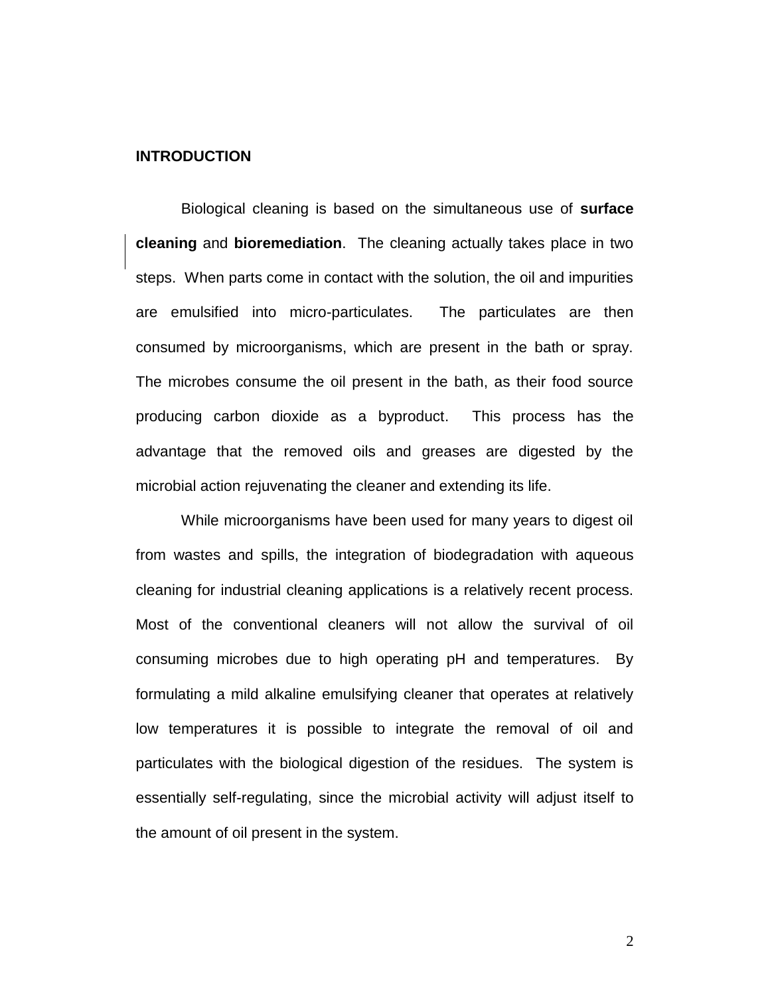## **INTRODUCTION**

Biological cleaning is based on the simultaneous use of **surface cleaning** and **bioremediation**. The cleaning actually takes place in two steps. When parts come in contact with the solution, the oil and impurities are emulsified into micro-particulates. The particulates are then consumed by microorganisms, which are present in the bath or spray. The microbes consume the oil present in the bath, as their food source producing carbon dioxide as a byproduct. This process has the advantage that the removed oils and greases are digested by the microbial action rejuvenating the cleaner and extending its life.

While microorganisms have been used for many years to digest oil from wastes and spills, the integration of biodegradation with aqueous cleaning for industrial cleaning applications is a relatively recent process. Most of the conventional cleaners will not allow the survival of oil consuming microbes due to high operating pH and temperatures. By formulating a mild alkaline emulsifying cleaner that operates at relatively low temperatures it is possible to integrate the removal of oil and particulates with the biological digestion of the residues. The system is essentially self-regulating, since the microbial activity will adjust itself to the amount of oil present in the system.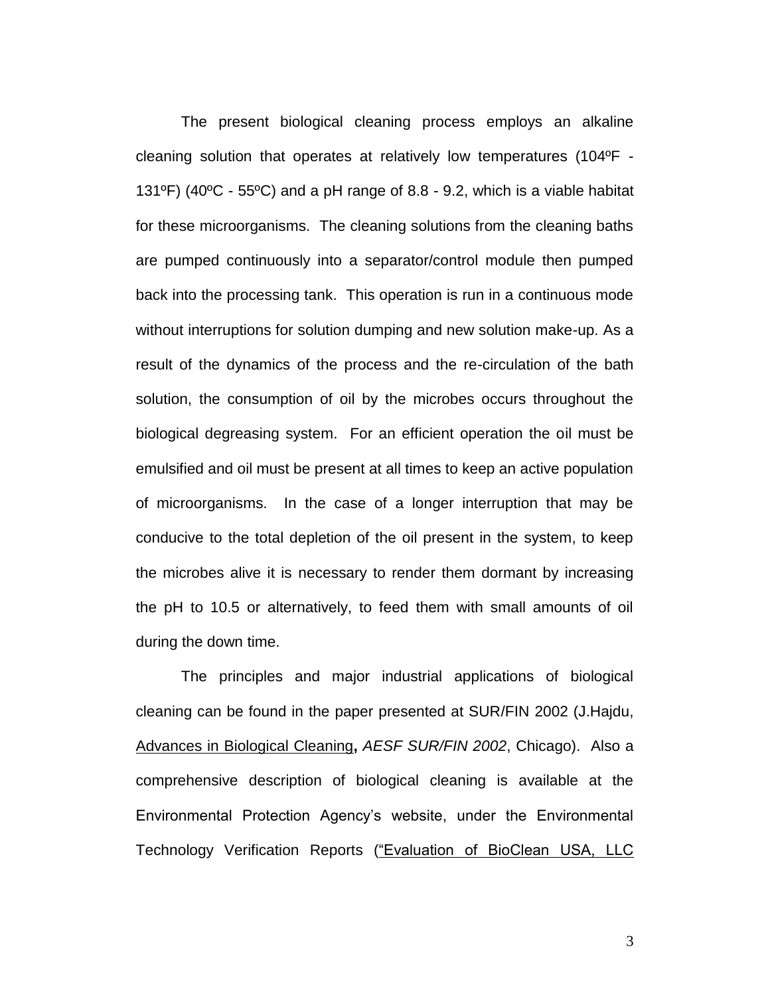The present biological cleaning process employs an alkaline cleaning solution that operates at relatively low temperatures (104ºF - 131ºF) (40ºC - 55ºC) and a pH range of 8.8 - 9.2, which is a viable habitat for these microorganisms. The cleaning solutions from the cleaning baths are pumped continuously into a separator/control module then pumped back into the processing tank. This operation is run in a continuous mode without interruptions for solution dumping and new solution make-up. As a result of the dynamics of the process and the re-circulation of the bath solution, the consumption of oil by the microbes occurs throughout the biological degreasing system. For an efficient operation the oil must be emulsified and oil must be present at all times to keep an active population of microorganisms. In the case of a longer interruption that may be conducive to the total depletion of the oil present in the system, to keep the microbes alive it is necessary to render them dormant by increasing the pH to 10.5 or alternatively, to feed them with small amounts of oil during the down time.

The principles and major industrial applications of biological cleaning can be found in the paper presented at SUR/FIN 2002 (J.Hajdu, Advances in Biological Cleaning**,** *AESF SUR/FIN 2002*, Chicago). Also a comprehensive description of biological cleaning is available at the Environmental Protection Agency's website, under the Environmental Technology Verification Reports ("Evaluation of BioClean USA, LLC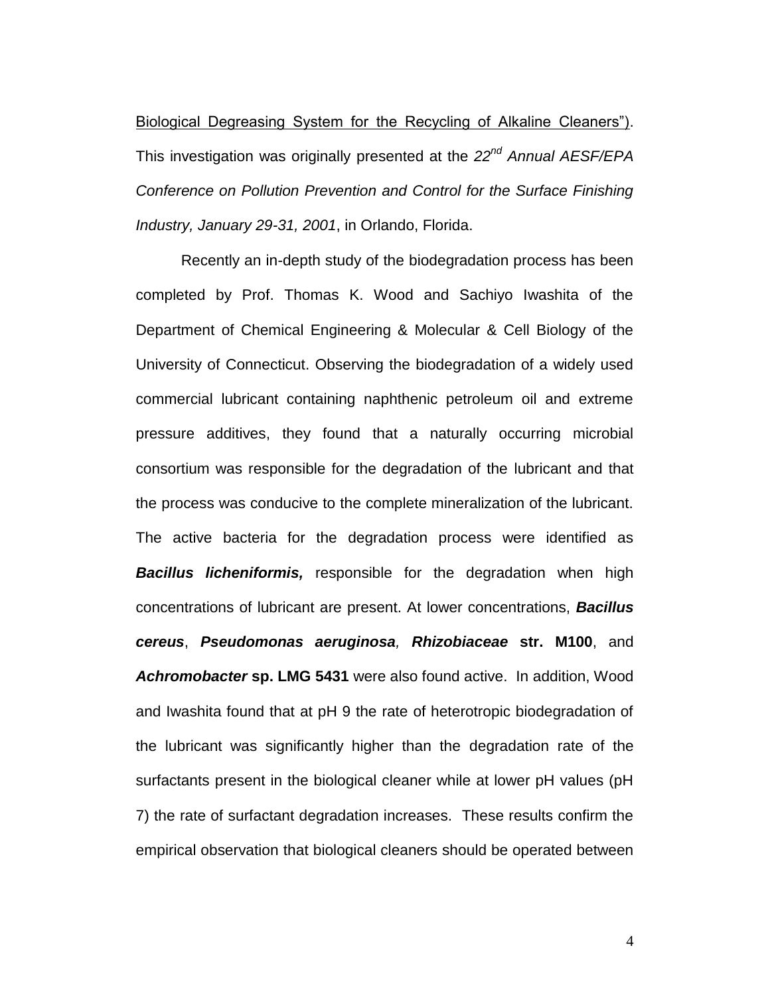Biological Degreasing System for the Recycling of Alkaline Cleaners"). This investigation was originally presented at the *22nd Annual AESF/EPA Conference on Pollution Prevention and Control for the Surface Finishing Industry, January 29-31, 2001*, in Orlando, Florida.

Recently an in-depth study of the biodegradation process has been completed by Prof. Thomas K. Wood and Sachiyo Iwashita of the Department of Chemical Engineering & Molecular & Cell Biology of the University of Connecticut. Observing the biodegradation of a widely used commercial lubricant containing naphthenic petroleum oil and extreme pressure additives, they found that a naturally occurring microbial consortium was responsible for the degradation of the lubricant and that the process was conducive to the complete mineralization of the lubricant. The active bacteria for the degradation process were identified as *Bacillus licheniformis,* responsible for the degradation when high concentrations of lubricant are present. At lower concentrations, *Bacillus cereus*, *Pseudomonas aeruginosa, Rhizobiaceae* **str. M100**, and *Achromobacter* **sp. LMG 5431** were also found active. In addition, Wood and Iwashita found that at pH 9 the rate of heterotropic biodegradation of the lubricant was significantly higher than the degradation rate of the surfactants present in the biological cleaner while at lower pH values (pH 7) the rate of surfactant degradation increases. These results confirm the empirical observation that biological cleaners should be operated between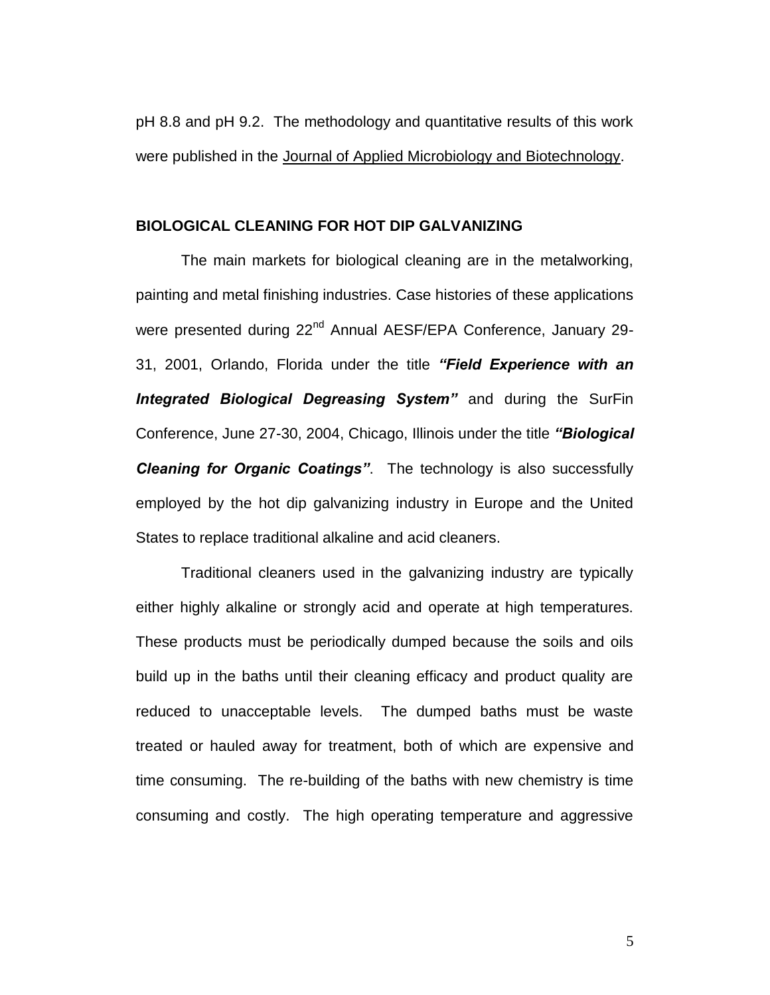pH 8.8 and pH 9.2. The methodology and quantitative results of this work were published in the Journal of Applied Microbiology and Biotechnology.

## **BIOLOGICAL CLEANING FOR HOT DIP GALVANIZING**

The main markets for biological cleaning are in the metalworking, painting and metal finishing industries. Case histories of these applications were presented during 22<sup>nd</sup> Annual AESF/EPA Conference, January 29-31, 2001, Orlando, Florida under the title *"Field Experience with an Integrated Biological Degreasing System"* and during the SurFin Conference, June 27-30, 2004, Chicago, Illinois under the title *"Biological Cleaning for Organic Coatings"*. The technology is also successfully employed by the hot dip galvanizing industry in Europe and the United States to replace traditional alkaline and acid cleaners.

Traditional cleaners used in the galvanizing industry are typically either highly alkaline or strongly acid and operate at high temperatures. These products must be periodically dumped because the soils and oils build up in the baths until their cleaning efficacy and product quality are reduced to unacceptable levels. The dumped baths must be waste treated or hauled away for treatment, both of which are expensive and time consuming. The re-building of the baths with new chemistry is time consuming and costly. The high operating temperature and aggressive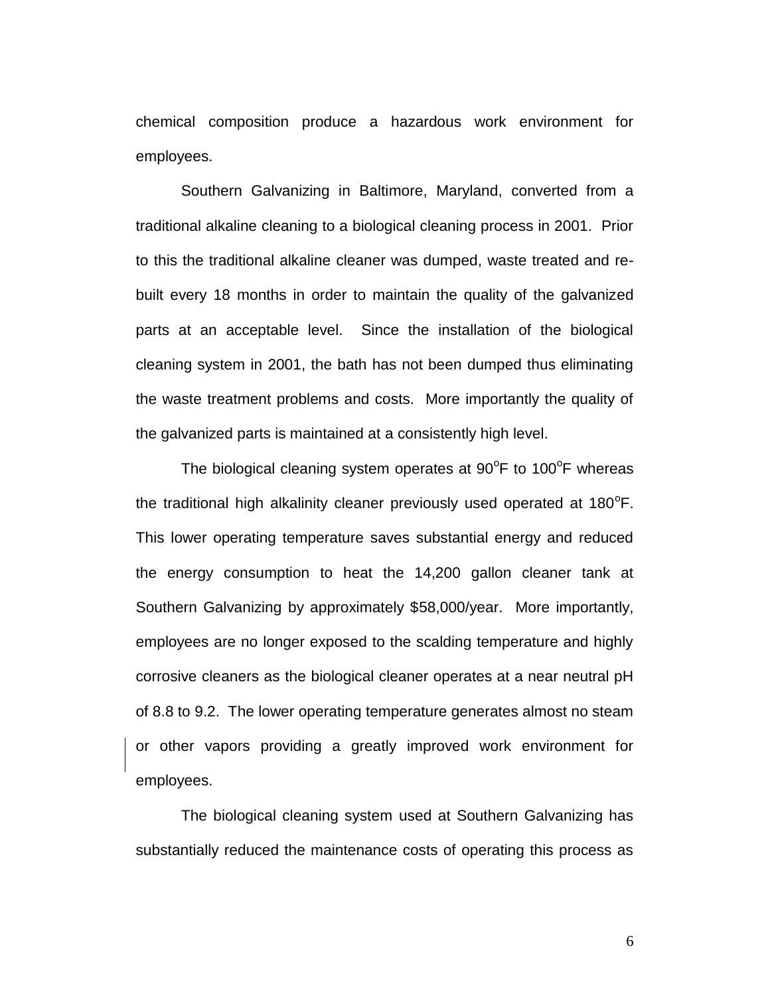chemical composition produce a hazardous work environment for employees.

Southern Galvanizing in Baltimore, Maryland, converted from a traditional alkaline cleaning to a biological cleaning process in 2001. Prior to this the traditional alkaline cleaner was dumped, waste treated and rebuilt every 18 months in order to maintain the quality of the galvanized parts at an acceptable level. Since the installation of the biological cleaning system in 2001, the bath has not been dumped thus eliminating the waste treatment problems and costs. More importantly the quality of the galvanized parts is maintained at a consistently high level.

The biological cleaning system operates at  $90^{\circ}$ F to 100 $^{\circ}$ F whereas the traditional high alkalinity cleaner previously used operated at  $180^{\circ}$ F. This lower operating temperature saves substantial energy and reduced the energy consumption to heat the 14,200 gallon cleaner tank at Southern Galvanizing by approximately \$58,000/year. More importantly, employees are no longer exposed to the scalding temperature and highly corrosive cleaners as the biological cleaner operates at a near neutral pH of 8.8 to 9.2. The lower operating temperature generates almost no steam or other vapors providing a greatly improved work environment for employees.

The biological cleaning system used at Southern Galvanizing has substantially reduced the maintenance costs of operating this process as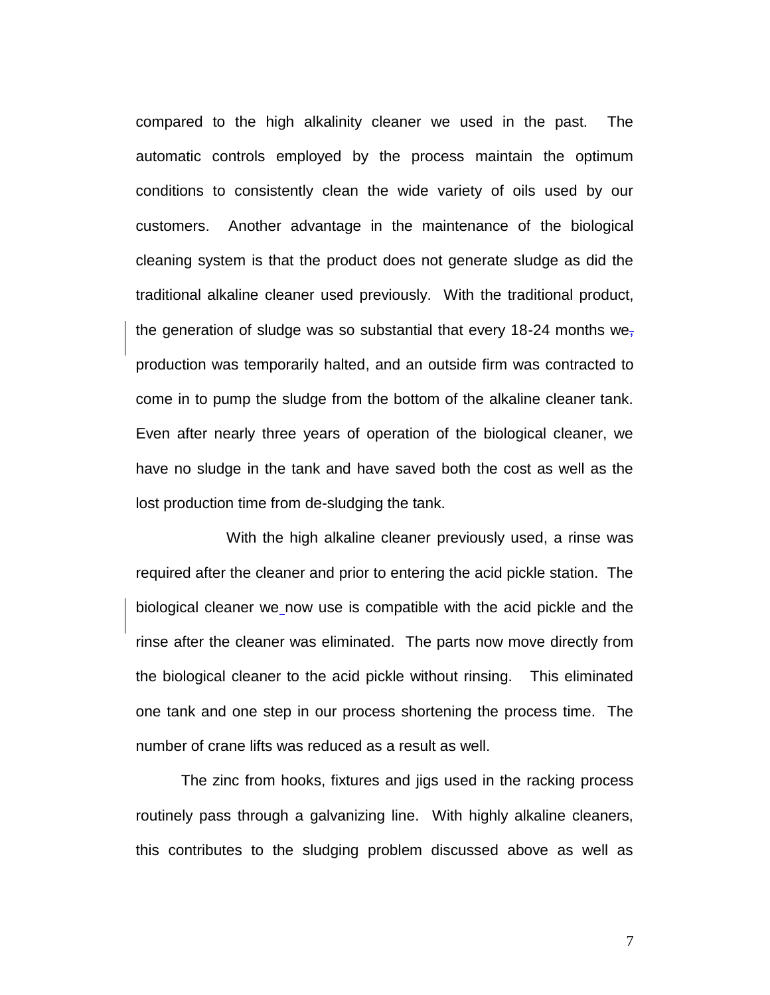compared to the high alkalinity cleaner we used in the past. The automatic controls employed by the process maintain the optimum conditions to consistently clean the wide variety of oils used by our customers. Another advantage in the maintenance of the biological cleaning system is that the product does not generate sludge as did the traditional alkaline cleaner used previously. With the traditional product, the generation of sludge was so substantial that every 18-24 months we<sub> $<sub>1</sub>$ </sub></sub> production was temporarily halted, and an outside firm was contracted to come in to pump the sludge from the bottom of the alkaline cleaner tank. Even after nearly three years of operation of the biological cleaner, we have no sludge in the tank and have saved both the cost as well as the lost production time from de-sludging the tank.

With the high alkaline cleaner previously used, a rinse was required after the cleaner and prior to entering the acid pickle station. The biological cleaner we now use is compatible with the acid pickle and the rinse after the cleaner was eliminated. The parts now move directly from the biological cleaner to the acid pickle without rinsing. This eliminated one tank and one step in our process shortening the process time. The number of crane lifts was reduced as a result as well.

The zinc from hooks, fixtures and jigs used in the racking process routinely pass through a galvanizing line. With highly alkaline cleaners, this contributes to the sludging problem discussed above as well as